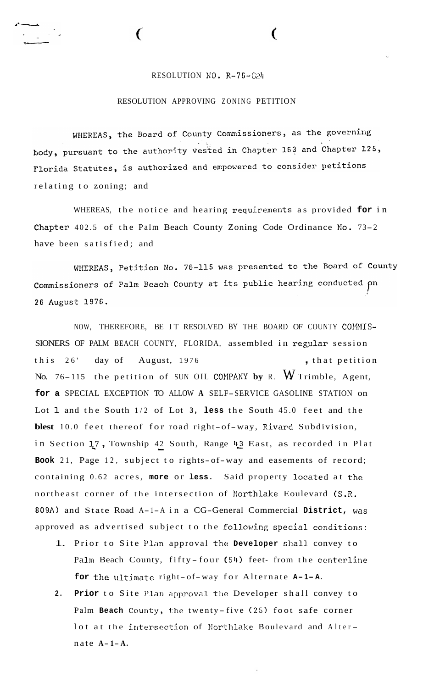## RESOLUTION NO. R-76-824

**C** 

## RESOLUTION APPROVING ZONING PETITION

WHEREAS, the Board of County Commissioners, as the governing body, pursuant to the authority vested in Chapter 163 and Chapter 125, Florida Statutes, is authorized and empowered to consider petitions relating to zoning; and

WHEREAS, the notice and hearing requirements as provided **for** in .Chapter 402.5 of the Palm Beach County Zoning Code Ordinance **KO.** 73-2 have been satisfied; and

WHEREAS, Petition No. 76-115 was presented to the Board of County Commissioners of Palm Beach County at its public hearing conducted pn 26 August 1976.

NOW, THEREFORE, BE IT RESOLVED BY THE BOARD OF COUNTY COMMIS-SIONERS OF PALM BEACH COUNTY, FLORIDA, assembled in regular session this 26' day of August, 1976 , that petition No. 76-115 the petition of SUN OIL COMPANY by R. W Trimble, Agent, **for a** SPECIAL EXCEPTION TO ALLOW **A** SELF-SERVICE GASOLINE STATION on Lot **1** and the South 1/2 of Lot **3, less** the South 45.0 feet and the **blest** 10.0 feet thereof for road right-of-way, Rivard Subdivision, in Section **1,7** , Township 42 South, Range **43** East, as recorded in Plat *L L*  **Book** 21, Page 12, subject to rights-of-way and easements of record; containing 0.62 acres, **more** or **less.** Said property located at **the**  northeast corner of the intersection of Northlake Eoulevard (S.R. 809A) and State Road A-1-A in a CG-General Commercial **District, was**  approved as advertised subject to the following special **conditions:** 

- 1. Prior to Site Plan approval the **Developer** shall convey to Palm Beach County, fifty-four  $(54)$  feet- from the centerline **for** the ultimate right- of-way for Alternate **A- 1- A.**
- 2. Prior to Site Plan approval the Developer shall convey to Palm **Beach** County, the twenty-five (25) foot safe corner lot at the intersection of Northlake Boulevard and Alternate **A- <sup>1</sup> - A.**